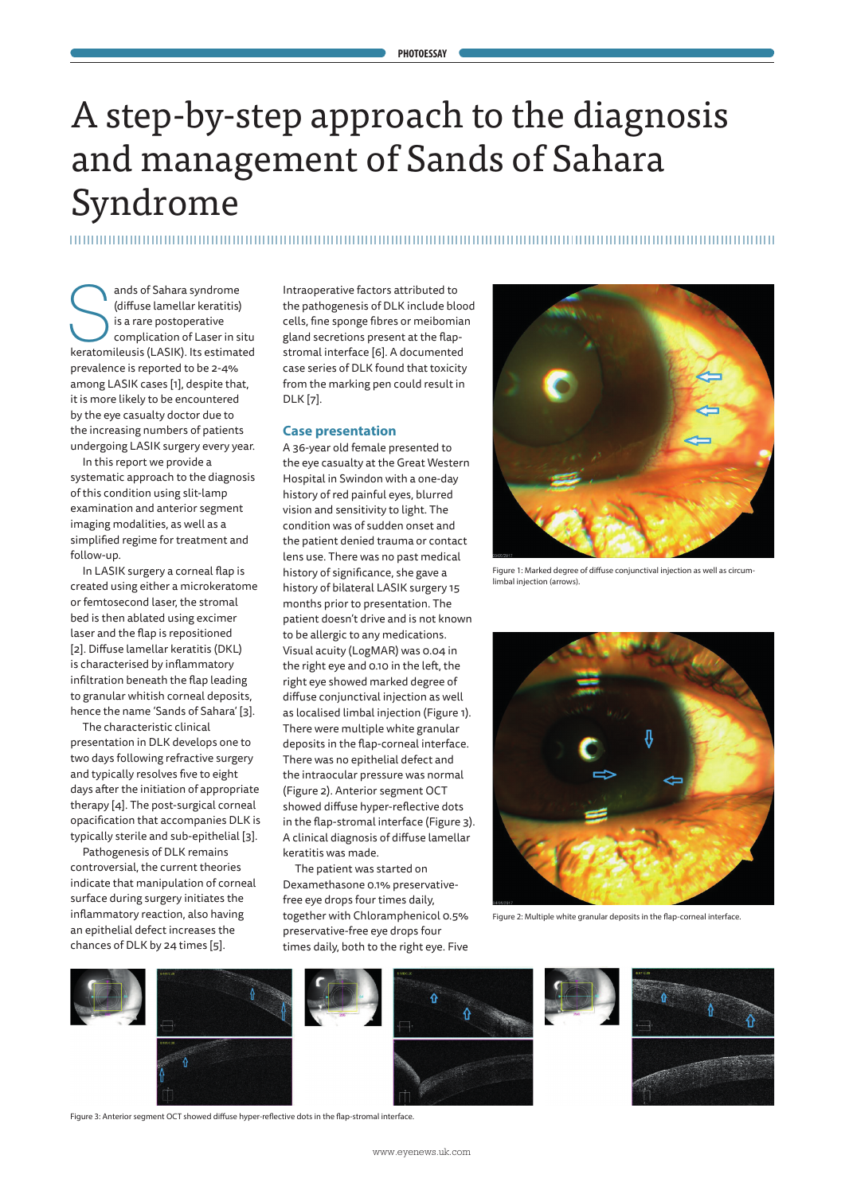## **PHOTOESSAY**

# A step-by-step approach to the diagnosis and management of Sands of Sahara Syndrome

ands of Sahara syndrome<br>
(diffuse lamellar keratitis)<br>
is a rare postoperative<br>
complication of Laser in situ<br>
keratomileusis (LASIK). Its estimated (diffuse lamellar keratitis) is a rare postoperative complication of Laser in situ prevalence is reported to be 2-4% among LASIK cases [1], despite that, it is more likely to be encountered by the eye casualty doctor due to the increasing numbers of patients undergoing LASIK surgery every year.

In this report we provide a systematic approach to the diagnosis of this condition using slit-lamp examination and anterior segment imaging modalities, as well as a simplified regime for treatment and follow-up.

In LASIK surgery a corneal flap is created using either a microkeratome or femtosecond laser, the stromal bed is then ablated using excimer laser and the flap is repositioned [2]. Diffuse lamellar keratitis (DKL) is characterised by inflammatory infiltration beneath the flap leading to granular whitish corneal deposits, hence the name 'Sands of Sahara' [3].

The characteristic clinical presentation in DLK develops one to two days following refractive surgery and typically resolves five to eight days after the initiation of appropriate therapy [4]. The post-surgical corneal opacification that accompanies DLK is typically sterile and sub-epithelial [3].

Pathogenesis of DLK remains controversial, the current theories indicate that manipulation of corneal surface during surgery initiates the inflammatory reaction, also having an epithelial defect increases the chances of DLK by 24 times [5].

Intraoperative factors attributed to the pathogenesis of DLK include blood cells, fine sponge fibres or meibomian gland secretions present at the flapstromal interface [6]. A documented case series of DLK found that toxicity from the marking pen could result in DLK [7].

## **Case presentation**

A 36-year old female presented to the eye casualty at the Great Western Hospital in Swindon with a one-day history of red painful eyes, blurred vision and sensitivity to light. The condition was of sudden onset and the patient denied trauma or contact lens use. There was no past medical history of significance, she gave a history of bilateral LASIK surgery 15 months prior to presentation. The patient doesn't drive and is not known to be allergic to any medications. Visual acuity (LogMAR) was 0.04 in the right eye and 0.10 in the left, the right eye showed marked degree of diffuse conjunctival injection as well as localised limbal injection (Figure 1). There were multiple white granular deposits in the flap-corneal interface. There was no epithelial defect and the intraocular pressure was normal (Figure 2). Anterior segment OCT showed diffuse hyper-reflective dots in the flap-stromal interface (Figure 3). A clinical diagnosis of diffuse lamellar keratitis was made.

The patient was started on Dexamethasone 0.1% preservativefree eye drops four times daily, together with Chloramphenicol 0.5% preservative-free eye drops four times daily, both to the right eye. Five



Figure 1: Marked degree of diffuse conjunctival injection as well as circumlimbal injection (arrows).



Figure 2: Multiple white granular deposits in the flap-corneal interface.





Figure 3: Anterior segment OCT showed diffuse hyper-reflective dots in the flap-stromal interface.